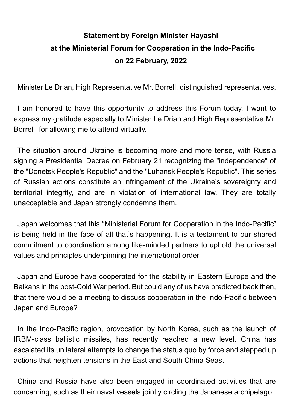## **Statement by Foreign Minister Hayashi at the Ministerial Forum for Cooperation in the Indo-Pacific on 22 February, 2022**

Minister Le Drian, High Representative Mr. Borrell, distinguished representatives,

I am honored to have this opportunity to address this Forum today. I want to express my gratitude especially to Minister Le Drian and High Representative Mr. Borrell, for allowing me to attend virtually.

The situation around Ukraine is becoming more and more tense, with Russia signing a Presidential Decree on February 21 recognizing the "independence" of the "Donetsk People's Republic" and the "Luhansk People's Republic". This series of Russian actions constitute an infringement of the Ukraine's sovereignty and territorial integrity, and are in violation of international law. They are totally unacceptable and Japan strongly condemns them.

Japan welcomes that this "Ministerial Forum for Cooperation in the Indo-Pacific" is being held in the face of all that's happening. It is a testament to our shared commitment to coordination among like-minded partners to uphold the universal values and principles underpinning the international order.

Japan and Europe have cooperated for the stability in Eastern Europe and the Balkans in the post-Cold War period. But could any of us have predicted back then, that there would be a meeting to discuss cooperation in the Indo-Pacific between Japan and Europe?

In the Indo-Pacific region, provocation by North Korea, such as the launch of IRBM-class ballistic missiles, has recently reached a new level. China has escalated its unilateral attempts to change the status quo by force and stepped up actions that heighten tensions in the East and South China Seas.

China and Russia have also been engaged in coordinated activities that are concerning, such as their naval vessels jointly circling the Japanese archipelago.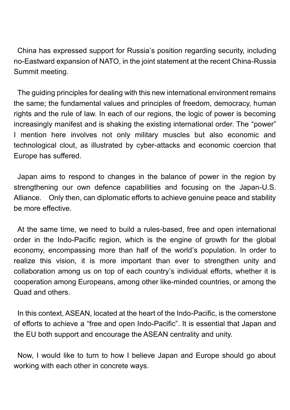China has expressed support for Russia's position regarding security, including no-Eastward expansion of NATO, in the joint statement at the recent China-Russia Summit meeting.

The guiding principles for dealing with this new international environment remains the same; the fundamental values and principles of freedom, democracy, human rights and the rule of law. In each of our regions, the logic of power is becoming increasingly manifest and is shaking the existing international order. The "power" I mention here involves not only military muscles but also economic and technological clout, as illustrated by cyber-attacks and economic coercion that Europe has suffered.

Japan aims to respond to changes in the balance of power in the region by strengthening our own defence capabilities and focusing on the Japan-U.S. Alliance. Only then, can diplomatic efforts to achieve genuine peace and stability be more effective.

At the same time, we need to build a rules-based, free and open international order in the Indo-Pacific region, which is the engine of growth for the global economy, encompassing more than half of the world's population. In order to realize this vision, it is more important than ever to strengthen unity and collaboration among us on top of each country's individual efforts, whether it is cooperation among Europeans, among other like-minded countries, or among the Quad and others.

In this context, ASEAN, located at the heart of the Indo-Pacific, is the cornerstone of efforts to achieve a "free and open Indo-Pacific". It is essential that Japan and the EU both support and encourage the ASEAN centrality and unity.

Now, I would like to turn to how I believe Japan and Europe should go about working with each other in concrete ways.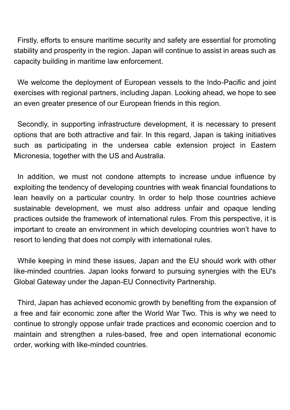Firstly, efforts to ensure maritime security and safety are essential for promoting stability and prosperity in the region. Japan will continue to assist in areas such as capacity building in maritime law enforcement.

We welcome the deployment of European vessels to the Indo-Pacific and joint exercises with regional partners, including Japan. Looking ahead, we hope to see an even greater presence of our European friends in this region.

Secondly, in supporting infrastructure development, it is necessary to present options that are both attractive and fair. In this regard, Japan is taking initiatives such as participating in the undersea cable extension project in Eastern Micronesia, together with the US and Australia.

In addition, we must not condone attempts to increase undue influence by exploiting the tendency of developing countries with weak financial foundations to lean heavily on a particular country. In order to help those countries achieve sustainable development, we must also address unfair and opaque lending practices outside the framework of international rules. From this perspective, it is important to create an environment in which developing countries won't have to resort to lending that does not comply with international rules.

While keeping in mind these issues, Japan and the EU should work with other like-minded countries. Japan looks forward to pursuing synergies with the EU's Global Gateway under the Japan-EU Connectivity Partnership.

Third, Japan has achieved economic growth by benefiting from the expansion of a free and fair economic zone after the World War Two. This is why we need to continue to strongly oppose unfair trade practices and economic coercion and to maintain and strengthen a rules-based, free and open international economic order, working with like-minded countries.